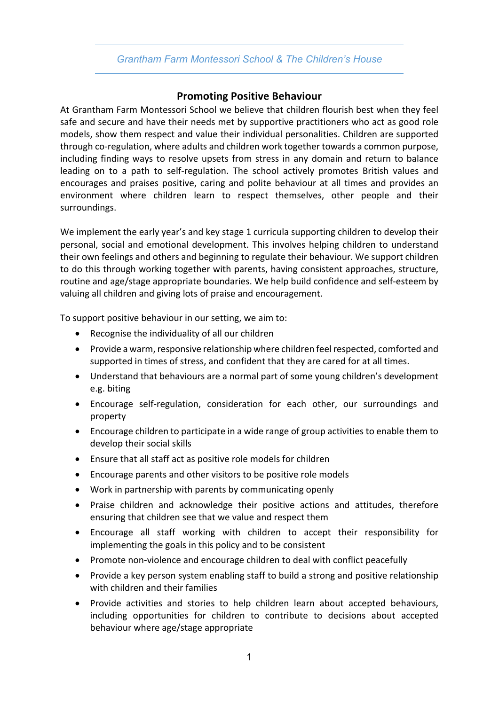## *Grantham Farm Montessori School & The Children's House*

## **Promoting Positive Behaviour**

At Grantham Farm Montessori School we believe that children flourish best when they feel safe and secure and have their needs met by supportive practitioners who act as good role models, show them respect and value their individual personalities. Children are supported through co-regulation, where adults and children work together towards a common purpose, including finding ways to resolve upsets from stress in any domain and return to balance leading on to a path to self-regulation. The school actively promotes British values and encourages and praises positive, caring and polite behaviour at all times and provides an environment where children learn to respect themselves, other people and their surroundings.

We implement the early year's and key stage 1 curricula supporting children to develop their personal, social and emotional development. This involves helping children to understand their own feelings and others and beginning to regulate their behaviour. We support children to do this through working together with parents, having consistent approaches, structure, routine and age/stage appropriate boundaries. We help build confidence and self-esteem by valuing all children and giving lots of praise and encouragement.

To support positive behaviour in our setting, we aim to:

- Recognise the individuality of all our children
- Provide a warm, responsive relationship where children feel respected, comforted and supported in times of stress, and confident that they are cared for at all times.
- Understand that behaviours are a normal part of some young children's development e.g. biting
- Encourage self-regulation, consideration for each other, our surroundings and property
- Encourage children to participate in a wide range of group activities to enable them to develop their social skills
- Ensure that all staff act as positive role models for children
- Encourage parents and other visitors to be positive role models
- Work in partnership with parents by communicating openly
- Praise children and acknowledge their positive actions and attitudes, therefore ensuring that children see that we value and respect them
- Encourage all staff working with children to accept their responsibility for implementing the goals in this policy and to be consistent
- Promote non-violence and encourage children to deal with conflict peacefully
- Provide a key person system enabling staff to build a strong and positive relationship with children and their families
- Provide activities and stories to help children learn about accepted behaviours, including opportunities for children to contribute to decisions about accepted behaviour where age/stage appropriate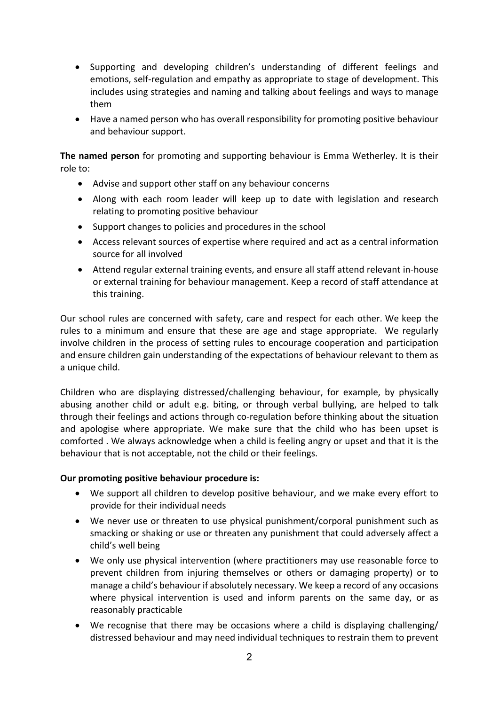- Supporting and developing children's understanding of different feelings and emotions, self-regulation and empathy as appropriate to stage of development. This includes using strategies and naming and talking about feelings and ways to manage them
- Have a named person who has overall responsibility for promoting positive behaviour and behaviour support.

**The named person** for promoting and supporting behaviour is Emma Wetherley. It is their role to:

- Advise and support other staff on any behaviour concerns
- Along with each room leader will keep up to date with legislation and research relating to promoting positive behaviour
- Support changes to policies and procedures in the school
- Access relevant sources of expertise where required and act as a central information source for all involved
- Attend regular external training events, and ensure all staff attend relevant in-house or external training for behaviour management. Keep a record of staff attendance at this training.

Our school rules are concerned with safety, care and respect for each other. We keep the rules to a minimum and ensure that these are age and stage appropriate. We regularly involve children in the process of setting rules to encourage cooperation and participation and ensure children gain understanding of the expectations of behaviour relevant to them as a unique child.

Children who are displaying distressed/challenging behaviour, for example, by physically abusing another child or adult e.g. biting, or through verbal bullying, are helped to talk through their feelings and actions through co-regulation before thinking about the situation and apologise where appropriate. We make sure that the child who has been upset is comforted . We always acknowledge when a child is feeling angry or upset and that it is the behaviour that is not acceptable, not the child or their feelings.

### **Our promoting positive behaviour procedure is:**

- We support all children to develop positive behaviour, and we make every effort to provide for their individual needs
- We never use or threaten to use physical punishment/corporal punishment such as smacking or shaking or use or threaten any punishment that could adversely affect a child's well being
- We only use physical intervention (where practitioners may use reasonable force to prevent children from injuring themselves or others or damaging property) or to manage a child's behaviour if absolutely necessary. We keep a record of any occasions where physical intervention is used and inform parents on the same day, or as reasonably practicable
- We recognise that there may be occasions where a child is displaying challenging/ distressed behaviour and may need individual techniques to restrain them to prevent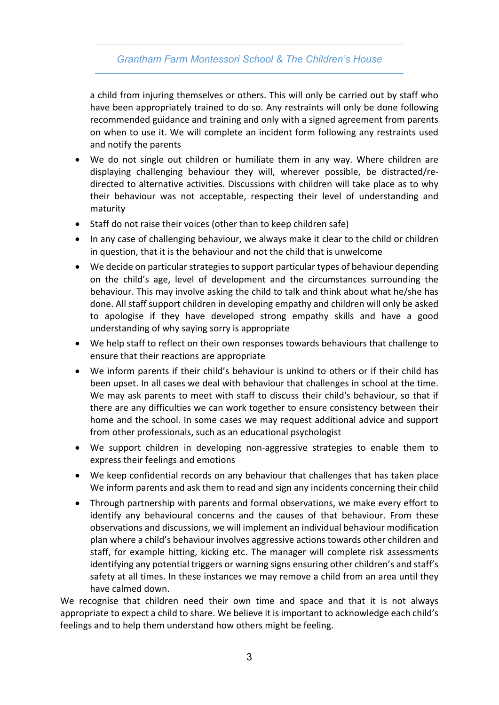# *Grantham Farm Montessori School & The Children's House*

a child from injuring themselves or others. This will only be carried out by staff who have been appropriately trained to do so. Any restraints will only be done following recommended guidance and training and only with a signed agreement from parents on when to use it. We will complete an incident form following any restraints used and notify the parents

- We do not single out children or humiliate them in any way. Where children are displaying challenging behaviour they will, wherever possible, be distracted/redirected to alternative activities. Discussions with children will take place as to why their behaviour was not acceptable, respecting their level of understanding and maturity
- Staff do not raise their voices (other than to keep children safe)
- In any case of challenging behaviour, we always make it clear to the child or children in question, that it is the behaviour and not the child that is unwelcome
- We decide on particular strategies to support particular types of behaviour depending on the child's age, level of development and the circumstances surrounding the behaviour. This may involve asking the child to talk and think about what he/she has done. All staff support children in developing empathy and children will only be asked to apologise if they have developed strong empathy skills and have a good understanding of why saying sorry is appropriate
- We help staff to reflect on their own responses towards behaviours that challenge to ensure that their reactions are appropriate
- We inform parents if their child's behaviour is unkind to others or if their child has been upset. In all cases we deal with behaviour that challenges in school at the time. We may ask parents to meet with staff to discuss their child's behaviour, so that if there are any difficulties we can work together to ensure consistency between their home and the school. In some cases we may request additional advice and support from other professionals, such as an educational psychologist
- We support children in developing non-aggressive strategies to enable them to express their feelings and emotions
- We keep confidential records on any behaviour that challenges that has taken place We inform parents and ask them to read and sign any incidents concerning their child
- Through partnership with parents and formal observations, we make every effort to identify any behavioural concerns and the causes of that behaviour. From these observations and discussions, we will implement an individual behaviour modification plan where a child's behaviour involves aggressive actions towards other children and staff, for example hitting, kicking etc. The manager will complete risk assessments identifying any potential triggers or warning signs ensuring other children's and staff's safety at all times. In these instances we may remove a child from an area until they have calmed down.

We recognise that children need their own time and space and that it is not always appropriate to expect a child to share. We believe it is important to acknowledge each child's feelings and to help them understand how others might be feeling.